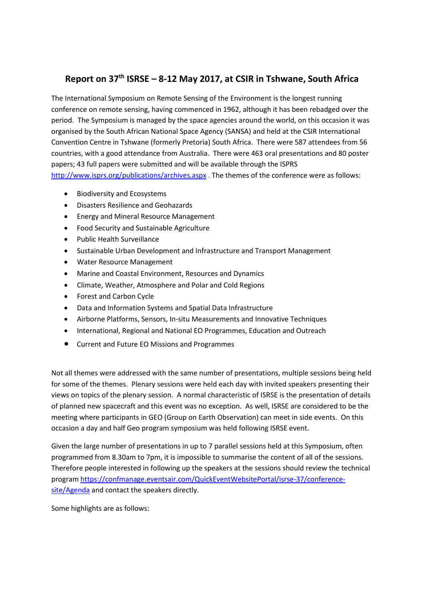## **Report on 37th ISRSE – 8-12 May 2017, at CSIR in Tshwane, South Africa**

The International Symposium on Remote Sensing of the Environment is the longest running conference on remote sensing, having commenced in 1962, although it has been rebadged over the period. The Symposium is managed by the space agencies around the world, on this occasion it was organised by the South African National Space Agency (SANSA) and held at the CSIR International Convention Centre in Tshwane (formerly Pretoria) South Africa. There were 587 attendees from 56 countries, with a good attendance from Australia. There were 463 oral presentations and 80 poster papers; 43 full papers were submitted and will be available through the ISPRS <http://www.isprs.org/publications/archives.aspx> . The themes of the conference were as follows:

- Biodiversity and Ecosystems
- Disasters Resilience and Geohazards
- Energy and Mineral Resource Management
- Food Security and Sustainable Agriculture
- Public Health Surveillance
- Sustainable Urban Development and Infrastructure and Transport Management
- Water Resource Management
- Marine and Coastal Environment, Resources and Dynamics
- Climate, Weather, Atmosphere and Polar and Cold Regions
- Forest and Carbon Cycle
- Data and Information Systems and Spatial Data Infrastructure
- Airborne Platforms, Sensors, In-situ Measurements and Innovative Techniques
- International, Regional and National EO Programmes, Education and Outreach
- Current and Future EO Missions and Programmes

Not all themes were addressed with the same number of presentations, multiple sessions being held for some of the themes. Plenary sessions were held each day with invited speakers presenting their views on topics of the plenary session. A normal characteristic of ISRSE is the presentation of details of planned new spacecraft and this event was no exception. As well, ISRSE are considered to be the meeting where participants in GEO (Group on Earth Observation) can meet in side events. On this occasion a day and half Geo program symposium was held following ISRSE event.

Given the large number of presentations in up to 7 parallel sessions held at this Symposium, often programmed from 8.30am to 7pm, it is impossible to summarise the content of all of the sessions. Therefore people interested in following up the speakers at the sessions should review the technical program [https://confmanage.eventsair.com/QuickEventWebsitePortal/isrse-37/conference](https://confmanage.eventsair.com/QuickEventWebsitePortal/isrse-37/conference-site/Agenda)[site/Agenda](https://confmanage.eventsair.com/QuickEventWebsitePortal/isrse-37/conference-site/Agenda) and contact the speakers directly.

Some highlights are as follows: